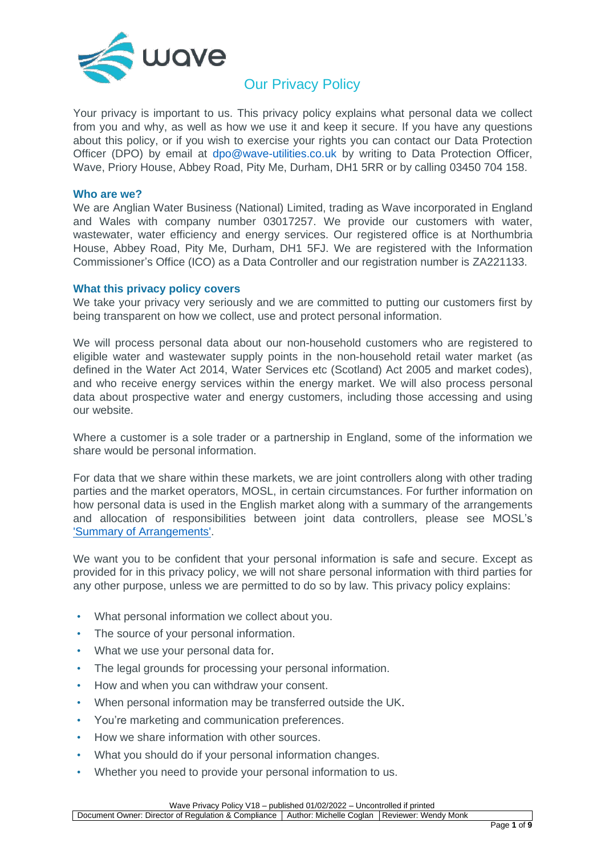

# **Our Privacy Policy**

Your privacy is important to us. This privacy policy explains what personal data we collect from you and why, as well as how we use it and keep it secure. If you have any questions about this policy, or if you wish to exercise your rights you can contact our Data Protection Officer (DPO) by email at [dpo@wave-utilities.co.uk](mailto:dpo@wave-utilities.co.uk) by writing to Data Protection Officer, Wave, Priory House, Abbey Road, Pity Me, Durham, DH1 5RR or by calling 03450 704 158.

#### **Who are we?**

We are Anglian Water Business (National) Limited, trading as Wave incorporated in England and Wales with company number 03017257. We provide our customers with water, wastewater, water efficiency and energy services. Our registered office is at Northumbria House, Abbey Road, Pity Me, Durham, DH1 5FJ. We are registered with the Information Commissioner's Office (ICO) as a Data Controller and our registration number is ZA221133.

#### **What this privacy policy covers**

We take your privacy very seriously and we are committed to putting our customers first by being transparent on how we collect, use and protect personal information.

We will process personal data about our non-household customers who are registered to eligible water and wastewater supply points in the non-household retail water market (as defined in the Water Act 2014, Water Services etc (Scotland) Act 2005 and market codes), and who receive energy services within the energy market. We will also process personal data about prospective water and energy customers, including those accessing and using our website.

Where a customer is a sole trader or a partnership in England, some of the information we share would be personal information.

For data that we share within these markets, we are joint controllers along with other trading parties and the market operators, MOSL, in certain circumstances. For further information on how personal data is used in the English market along with a summary of the arrangements and allocation of responsibilities between joint data controllers, please see MOSL's ['Summary of Arrangements'.](https://mosl.co.uk/documents-publications/1427-summary-of-arrangements/file)

We want you to be confident that your personal information is safe and secure. Except as provided for in this privacy policy, we will not share personal information with third parties for any other purpose, unless we are permitted to do so by law. This privacy policy explains:

- What personal information we collect about you.
- The source of your personal information.
- What we use your personal data for.
- The legal grounds for processing your personal information.
- How and when you can withdraw your consent.
- When personal information may be transferred outside the UK.
- You're marketing and communication preferences.
- [How we share information with other sources.](#page-4-0)
- [What you should do if your personal](#page-5-0) information changes.
- [Whether you need to provide your personal information to us.](#page-5-0)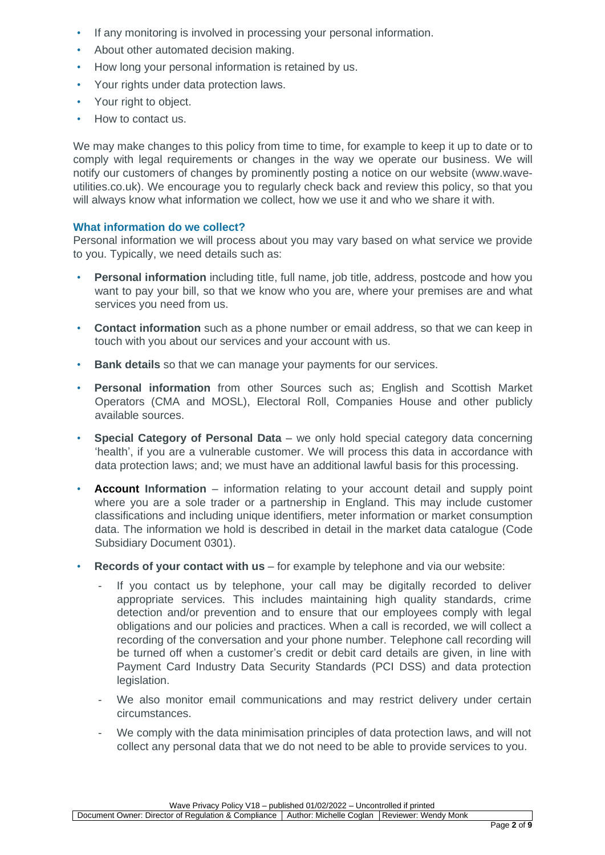- [If any monitoring is involved in processing](#page-5-0) your personal information.
- [About other automated decision making.](#page-6-0)
- [How long your personal information is retained by us.](#page-6-0)
- [Your rights under data protection laws.](#page-6-0)
- [Your right to](#page-8-0) object.
- [How to contact us.](#page-8-0)

We may make changes to this policy from time to time, for example to keep it up to date or to comply with legal requirements or changes in the way we operate our business. We will notify our customers of changes by prominently posting a notice on our website [\(www.wave](http://www.wave-utilities.co.uk/)[utilities.co.uk\)](http://www.wave-utilities.co.uk/). We encourage you to regularly check back and review this policy, so that you will always know what information we collect, how we use it and who we share it with.

# **What information do we collect?**

Personal information we will process about you may vary based on what service we provide to you. Typically, we need details such as:

- **Personal information** including title, full name, job title, address, postcode and how you want to pay your bill, so that we know who you are, where your premises are and what services you need from us.
- **Contact information** such as a phone number or email address, so that we can keep in touch with you about our services and your account with us.
- **Bank details** so that we can manage your payments for our services.
- **Personal information** from other Sources such as; English and Scottish Market Operators (CMA and MOSL), Electoral Roll, Companies House and other publicly available sources.
- **Special Category of Personal Data** we only hold special category data concerning 'health', if you are a vulnerable customer. We will process this data in accordance with data protection laws; and; we must have an additional lawful basis for this processing.
- **Account Information** information relating to your account detail and supply point where you are a sole trader or a partnership in England. This may include customer classifications and including unique identifiers, meter information or market consumption data. The information we hold is described in detail in the market data catalogue (Code Subsidiary Document 0301).
- **Records of your contact with us** for example by telephone and via our website:
	- If you contact us by telephone, your call may be digitally recorded to deliver appropriate services. This includes maintaining high quality standards, crime detection and/or prevention and to ensure that our employees comply with legal obligations and our policies and practices. When a call is recorded, we will collect a recording of the conversation and your phone number. Telephone call recording will be turned off when a customer's credit or debit card details are given, in line with Payment Card Industry Data Security Standards (PCI DSS) and data protection legislation.
	- We also monitor email communications and may restrict delivery under certain circumstances.
	- We comply with the data minimisation principles of data protection laws, and will not collect any personal data that we do not need to be able to provide services to you.

Wave Privacy Policy V18 – published 01/02/2022 – Uncontrolled if printed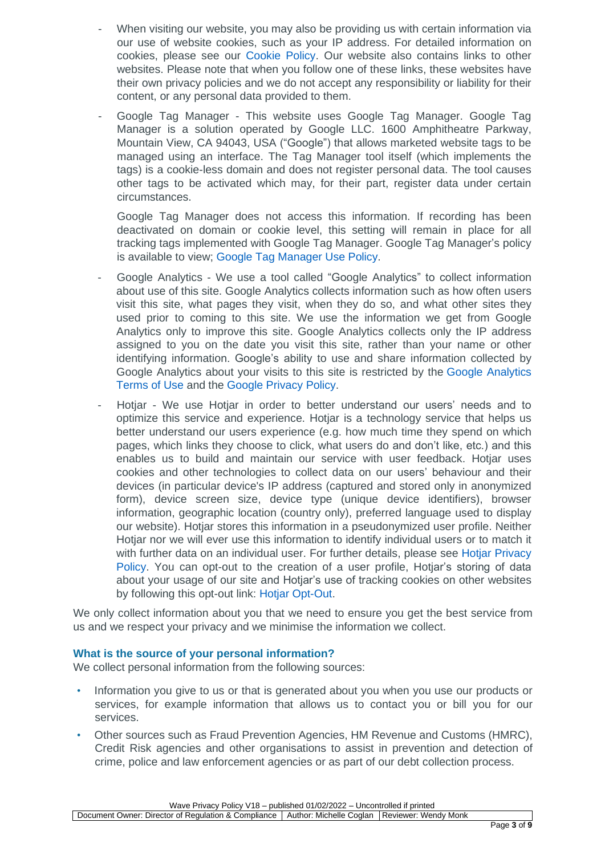- When visiting our website, you may also be providing us with certain information via our use of website cookies, such as your IP address. For detailed information on cookies, please see our [Cookie Policy.](https://www.wave-utilities.co.uk/cookie-policy) Our website also contains links to other websites. Please note that when you follow one of these links, these websites have their own privacy policies and we do not accept any responsibility or liability for their content, or any personal data provided to them.
- Google Tag Manager This website uses Google Tag Manager. Google Tag Manager is a solution operated by Google LLC. 1600 Amphitheatre Parkway, Mountain View, CA 94043, USA ("Google") that allows marketed website tags to be managed using an interface. The Tag Manager tool itself (which implements the tags) is a cookie-less domain and does not register personal data. The tool causes other tags to be activated which may, for their part, register data under certain circumstances.

Google Tag Manager does not access this information. If recording has been deactivated on domain or cookie level, this setting will remain in place for all tracking tags implemented with Google Tag Manager. Google Tag Manager's policy is available to view; Google Tag Manager Use Policy.

- Google Analytics We use a tool called "Google Analytics" to collect information about use of this site. Google Analytics collects information such as how often users visit this site, what pages they visit, when they do so, and what other sites they used prior to coming to this site. We use the information we get from Google Analytics only to improve this site. Google Analytics collects only the IP address assigned to you on the date you visit this site, rather than your name or other identifying information. Google's ability to use and share information collected by Google Analytics about your visits to this site is restricted by the [Google Analytics](https://www.google.com/analytics/terms/gb.html)  [Terms of Use](https://www.google.com/analytics/terms/gb.html) and the [Google Privacy Policy.](https://policies.google.com/privacy)
- Hotiar We use Hotiar in order to better understand our users' needs and to optimize this service and experience. Hotjar is a technology service that helps us better understand our users experience (e.g. how much time they spend on which pages, which links they choose to click, what users do and don't like, etc.) and this enables us to build and maintain our service with user feedback. Hotjar uses cookies and other technologies to collect data on our users' behaviour and their devices (in particular device's IP address (captured and stored only in anonymized form), device screen size, device type (unique device identifiers), browser information, geographic location (country only), preferred language used to display our website). Hotjar stores this information in a pseudonymized user profile. Neither Hotjar nor we will ever use this information to identify individual users or to match it with further data on an individual user. For further details, please see [Hotjar Privacy](https://www.hotjar.com/legal/policies/privacy)  [Policy.](https://www.hotjar.com/legal/policies/privacy) You can opt-out to the creation of a user profile, Hotjar's storing of data about your usage of our site and Hotjar's use of tracking cookies on other websites by following this opt-out link: Hotjar [Opt-Out.](https://www.hotjar.com/legal/compliance/opt-out)

We only collect information about you that we need to ensure you get the best service from us and we respect your privacy and we minimise the information we collect.

## **What is the source of your personal information?**

We collect personal information from the following sources:

- Information you give to us or that is generated about you when you use our products or services, for example information that allows us to contact you or bill you for our services.
- Other sources such as Fraud Prevention Agencies, HM Revenue and Customs (HMRC), Credit Risk agencies and other organisations to assist in prevention and detection of crime, police and law enforcement agencies or as part of our debt collection process.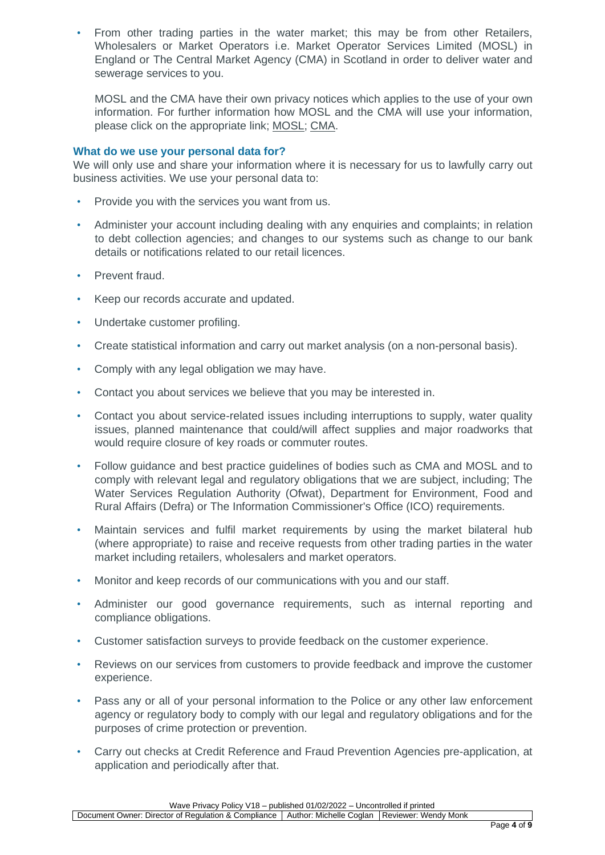• From other trading parties in the water market; this may be from other Retailers, Wholesalers or Market Operators i.e. Market Operator Services Limited (MOSL) in England or The Central Market Agency (CMA) in Scotland in order to deliver water and sewerage services to you.

MOSL and the CMA have their own privacy notices which applies to the use of your own information. For further information how MOSL and the CMA will use your information, please [click on](https://www.mosl.co.uk/) the appropriate link; [MOSL;](https://mosl.co.uk/privacy-policies) [CMA.](https://www.cmascotland.com/about-us/privacy-statement/)

## **What do we use your personal data for?**

We will only use and share your information where it is necessary for us to lawfully carry out business activities. We use your personal data to:

- Provide you with the services you want from us.
- Administer your account including dealing with any enquiries and complaints; in relation to debt collection agencies; and changes to our systems such as change to our bank details or notifications related to our retail licences.
- Prevent fraud.
- Keep our records accurate and updated.
- Undertake customer profiling.
- Create statistical information and carry out market analysis (on a non-personal basis).
- Comply with any legal obligation we may have.
- Contact you about services we believe that you may be interested in.
- Contact you about service-related issues including interruptions to supply, water quality issues, planned maintenance that could/will affect supplies and major roadworks that would require closure of key roads or commuter routes.
- Follow guidance and best practice guidelines of bodies such as CMA and MOSL and to comply with relevant legal and regulatory obligations that we are subject, including; The Water Services Regulation Authority (Ofwat), Department for Environment, Food and Rural Affairs (Defra) or The Information Commissioner's Office (ICO) requirements.
- Maintain services and fulfil market requirements by using the market bilateral hub (where appropriate) to raise and receive requests from other trading parties in the water market including retailers, wholesalers and market operators.
- Monitor and keep records of our communications with you and our staff.
- Administer our good governance requirements, such as internal reporting and compliance obligations.
- Customer satisfaction surveys to provide feedback on the customer experience.
- Reviews on our services from customers to provide feedback and improve the customer experience.
- Pass any or all of your personal information to the Police or any other law enforcement agency or regulatory body to comply with our legal and regulatory obligations and for the purposes of crime protection or prevention.
- Carry out checks at Credit Reference and Fraud Prevention Agencies pre-application, at application and periodically after that.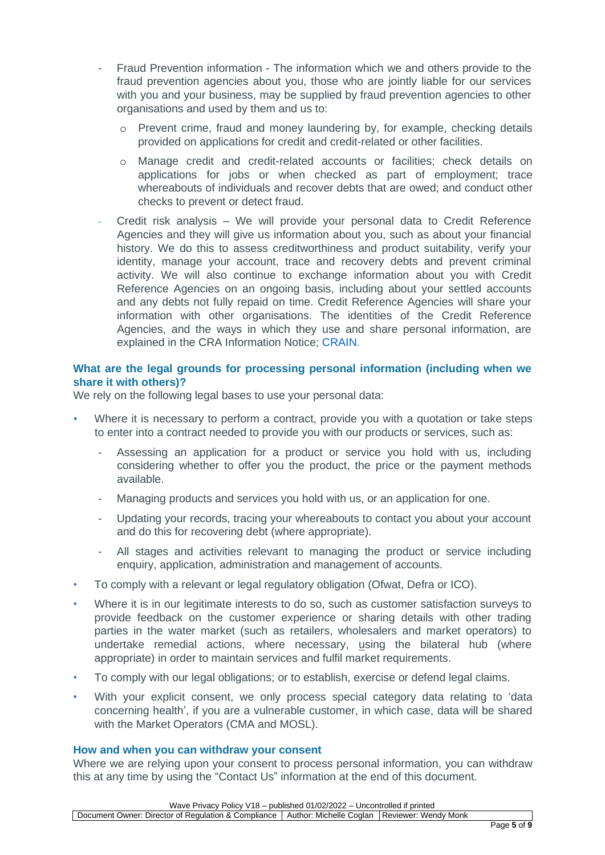- Fraud Prevention information The information which we and others provide to the fraud prevention agencies about you, those who are jointly liable for our services with you and your business, may be supplied by fraud prevention agencies to other organisations and used by them and us to:
	- o Prevent crime, fraud and money laundering by, for example, checking details provided on applications for credit and credit-related or other facilities.
	- o Manage credit and credit-related accounts or facilities; check details on applications for jobs or when checked as part of employment; trace whereabouts of individuals and recover debts that are owed; and conduct other checks to prevent or detect fraud.
- <span id="page-4-0"></span>- Credit risk analysis – We will provide your personal data to Credit Reference Agencies and they will give us information about you, such as about your financial history. We do this to assess creditworthiness and product suitability, verify your identity, manage your account, trace and recovery debts and prevent criminal activity. We will also continue to exchange information about you with Credit Reference Agencies on an ongoing basis, including about your settled accounts and any debts not fully repaid on time. Credit Reference Agencies will share your information with other organisations. The identities of the Credit Reference Agencies, and the ways in which they use and share personal information, are explained in the CRA Information Notice; [CRAIN](https://www.experian.co.uk/legal/crain/).

## **What are the legal grounds for processing personal information (including when we share it with others)?**

We rely on the following legal bases to use your personal data:

- Where it is necessary to perform a contract, provide you with a quotation or take steps to enter into a contract needed to provide you with our products or services, such as:
	- Assessing an application for a product or service you hold with us, including considering whether to offer you the product, the price or the payment methods available.
	- Managing products and services you hold with us, or an application for one.
	- Updating your records, tracing your whereabouts to contact you about your account and do this for recovering debt (where appropriate).
	- All stages and activities relevant to managing the product or service including enquiry, application, administration and management of accounts.
- To comply with a relevant or legal regulatory obligation (Ofwat, Defra or ICO).
- Where it is in our legitimate interests to do so, such as customer satisfaction surveys to provide feedback on the customer experience or sharing details with other trading parties in the water market (such as retailers, wholesalers and market operators) to undertake remedial actions, where necessary, using the bilateral hub (where appropriate) in order to maintain services and fulfil market requirements.
- To comply with our legal obligations; or to establish, exercise or defend legal claims.
- With your explicit consent, we only process special category data relating to 'data concerning health', if you are a vulnerable customer, in which case, data will be shared with the Market Operators (CMA and MOSL).

#### **How and when you can withdraw your consent**

Where we are relying upon your consent to process personal information, you can withdraw this at any time by using the "Contact Us" information at the end of this document.

Wave Privacy Policy V18 – published 01/02/2022 – Uncontrolled if printed

Document Owner: Director of Regulation & Compliance | Author: Michelle Coglan | Reviewer: Wendy Monk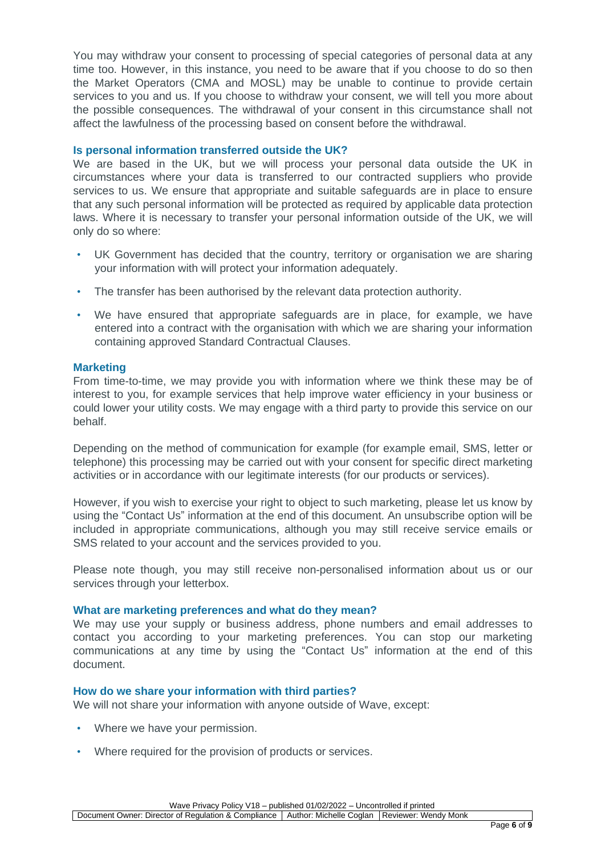You may withdraw your consent to processing of special categories of personal data at any time too. However, in this instance, you need to be aware that if you choose to do so then the Market Operators (CMA and MOSL) may be unable to continue to provide certain services to you and us. If you choose to withdraw your consent, we will tell you more about the possible consequences. The withdrawal of your consent in this circumstance shall not affect the lawfulness of the processing based on consent before the withdrawal.

## **Is personal information transferred outside the UK?**

We are based in the UK, but we will process your personal data outside the UK in circumstances where your data is transferred to our contracted suppliers who provide services to us. We ensure that appropriate and suitable safeguards are in place to ensure that any such personal information will be protected as required by applicable data protection laws. Where it is necessary to transfer your personal information outside of the UK, we will only do so where:

- UK Government has decided that the country, territory or organisation we are sharing your information with will protect your information adequately.
- The transfer has been authorised by the relevant data protection authority.
- We have ensured that appropriate safeguards are in place, for example, we have entered into a contract with the organisation with which we are sharing your information containing approved Standard Contractual Clauses.

#### <span id="page-5-0"></span>**Marketing**

From time-to-time, we may provide you with information where we think these may be of interest to you, for example services that help improve water efficiency in your business or could lower your utility costs. We may engage with a third party to provide this service on our behalf.

Depending on the method of communication for example (for example email, SMS, letter or telephone) this processing may be carried out with your consent for specific direct marketing activities or in accordance with our legitimate interests (for our products or services).

However, if you wish to exercise your right to object to such marketing, please let us know by using the "Contact Us" information at the end of this document. An unsubscribe option will be included in appropriate communications, although you may still receive service emails or SMS related to your account and the services provided to you.

Please note though, you may still receive non-personalised information about us or our services through your letterbox.

#### **What are marketing preferences and what do they mean?**

We may use your supply or business address, phone numbers and email addresses to contact you according to your marketing preferences. You can stop our marketing communications at any time by using the "Contact Us" information at the end of this document.

#### **How do we share your information with third parties?**

We will not share your information with anyone outside of Wave, except:

- Where we have your permission.
- Where required for the provision of products or services.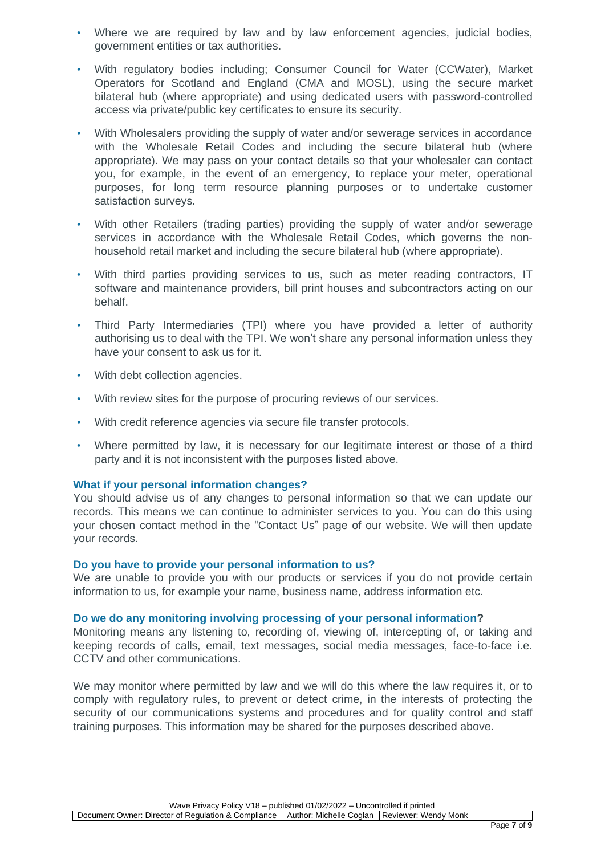- Where we are required by law and by law enforcement agencies, judicial bodies, government entities or tax authorities.
- With regulatory bodies including; Consumer Council for Water (CCWater), Market Operators for Scotland and England (CMA and MOSL), using the secure market bilateral hub (where appropriate) and using dedicated users with password-controlled access via private/public key certificates to ensure its security.
- With Wholesalers providing the supply of water and/or sewerage services in accordance with the Wholesale Retail Codes and including the secure bilateral hub (where appropriate). We may pass on your contact details so that your wholesaler can contact you, for example, in the event of an emergency, to replace your meter, operational purposes, for long term resource planning purposes or to undertake customer satisfaction surveys.
- With other Retailers (trading parties) providing the supply of water and/or sewerage services in accordance with the Wholesale Retail Codes, which governs the nonhousehold retail market and including the secure bilateral hub (where appropriate).
- With third parties providing services to us, such as meter reading contractors, IT software and maintenance providers, bill print houses and subcontractors acting on our behalf.
- Third Party Intermediaries (TPI) where you have provided a letter of authority authorising us to deal with the TPI. We won't share any personal information unless they have your consent to ask us for it.
- With debt collection agencies.
- With review sites for the purpose of procuring reviews of our services.
- With credit reference agencies via secure file transfer protocols.
- Where permitted by law, it is necessary for our legitimate interest or those of a third party and it is not inconsistent with the purposes listed above.

## **What if your personal information changes?**

You should advise us of any changes to personal information so that we can update our records. This means we can continue to administer services to you. You can do this using your chosen contact method in the "Contact Us" page of our website. We will then update your records.

## **Do you have to provide your personal information to us?**

We are unable to provide you with our products or services if you do not provide certain information to us, for example your name, business name, address information etc.

## **Do we do any monitoring involving processing of your personal information?**

Monitoring means any listening to, recording of, viewing of, intercepting of, or taking and keeping records of calls, email, text messages, social media messages, face-to-face i.e. CCTV and other communications.

<span id="page-6-0"></span>We may monitor where permitted by law and we will do this where the law requires it, or to comply with regulatory rules, to prevent or detect crime, in the interests of protecting the security of our communications systems and procedures and for quality control and staff training purposes. This information may be shared for the purposes described above.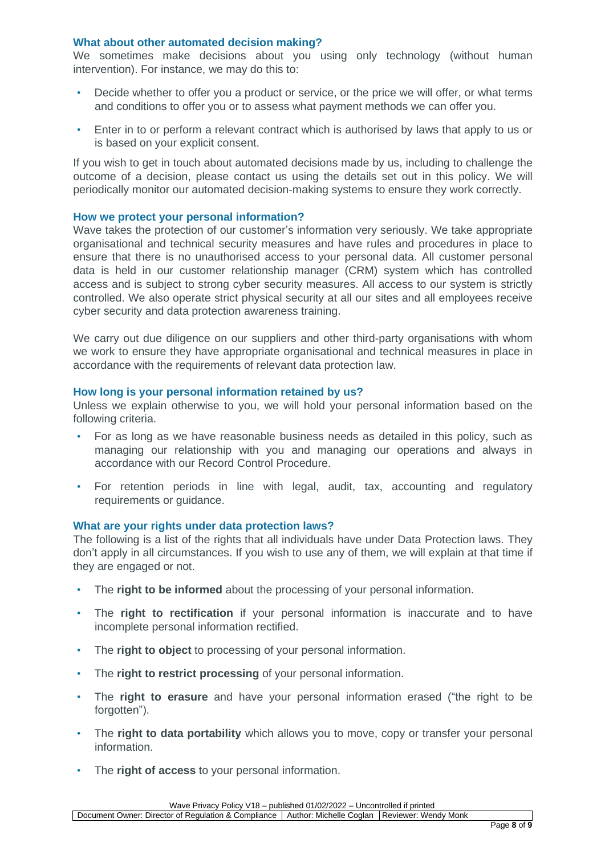#### **What about other automated decision making?**

We sometimes make decisions about you using only technology (without human intervention). For instance, we may do this to:

- Decide whether to offer you a product or service, or the price we will offer, or what terms and conditions to offer you or to assess what payment methods we can offer you.
- Enter in to or perform a relevant contract which is authorised by laws that apply to us or is based on your explicit consent.

If you wish to get in touch about automated decisions made by us, including to challenge the outcome of a decision, please contact us using the details set out in this policy. We will periodically monitor our automated decision-making systems to ensure they work correctly.

#### **How we protect your personal information?**

Wave takes the protection of our customer's information very seriously. We take appropriate organisational and technical security measures and have rules and procedures in place to ensure that there is no unauthorised access to your personal data. All customer personal data is held in our customer relationship manager (CRM) system which has controlled access and is subject to strong cyber security measures. All access to our system is strictly controlled. We also operate strict physical security at all our sites and all employees receive cyber security and data protection awareness training.

We carry out due diligence on our suppliers and other third-party organisations with whom we work to ensure they have appropriate organisational and technical measures in place in accordance with the requirements of relevant data protection law.

#### **How long is your personal information retained by us?**

Unless we explain otherwise to you, we will hold your personal information based on the following criteria.

- For as long as we have reasonable business needs as detailed in this policy, such as managing our relationship with you and managing our operations and always in accordance with our Record Control Procedure.
- For retention periods in line with legal, audit, tax, accounting and regulatory requirements or guidance.

#### **What are your rights under data protection laws?**

The following is a list of the rights that all individuals have under Data Protection laws. They don't apply in all circumstances. If you wish to use any of them, we will explain at that time if they are engaged or not.

- The **right to be informed** about the processing of your personal information.
- The **right to rectification** if your personal information is inaccurate and to have incomplete personal information rectified.
- The **right to object** to processing of your personal information.
- The **right to restrict processing** of your personal information.
- The **right to erasure** and have your personal information erased ("the right to be forgotten").
- The **right to data portability** which allows you to move, copy or transfer your personal information.
- The **right of access** to your personal information.

Wave Privacy Policy V18 – published 01/02/2022 – Uncontrolled if printed